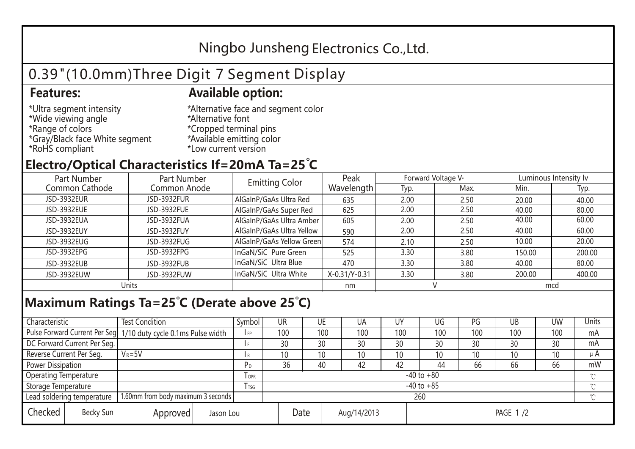## Ningbo Junsheng Electronics Co.,Ltd.

# 0.39"(10.0mm)Three Digit 7 Segment Display

### **Features: Available option:**

- \*Ultra segment intensity \*Wide viewing angle \*Range of colors \*Gray/Black face White segment \*RoHS compliant
- \*Alternative face and segment color \*Alternative font \*Cropped terminal pins \*Available emitting color \*Low current version

### **Electro/Optical Characteristics If=20mA Ta=25 C**

| Part Number<br>Part Number |              | <b>Emitting Color</b>     | Peak          | Forward Voltage VF |      | Luminous Intensity Iv |        |  |
|----------------------------|--------------|---------------------------|---------------|--------------------|------|-----------------------|--------|--|
| Common Cathode             | Common Anode |                           | Wavelength    | Typ.               | Max. | Min.                  | Typ.   |  |
| <b>JSD-3932EUR</b>         | JSD-3932FUR  | AlGaInP/GaAs Ultra Red    | 635           | 2.00               | 2.50 | 20.00                 | 40.00  |  |
| JSD-3932EUE                | JSD-3932FUE  | AlGaInP/GaAs Super Red    | 625           | 2.00               | 2.50 | 40.00                 | 80.00  |  |
| JSD-3932EUA                | JSD-3932FUA  | AlGaInP/GaAs Ultra Amber  | 605           | 2.00               | 2.50 | 40.00                 | 60.00  |  |
| JSD-3932EUY                | JSD-3932FUY  | AlGaInP/GaAs Ultra Yellow | 590           | 2.00               | 2.50 | 40.00                 | 60.00  |  |
| JSD-3932EUG                | JSD-3932FUG  | AlGaInP/GaAs Yellow Green | 574           | 2.10               | 2.50 | 10.00                 | 20.00  |  |
| JSD-3932EPG                | JSD-3932FPG  | InGaN/SiC Pure Green      | 525           | 3.30               | 3.80 | 150.00                | 200.00 |  |
| JSD-3932EUB                | JSD-3932FUB  | InGaN/SiC Ultra Blue      | 470           | 3.30               | 3.80 | 40.00                 | 80.00  |  |
| JSD-3932EUW                | JSD-3932FUW  | InGaN/SiC Ultra White     | X-0.31/Y-0.31 | 3.30               | 3.80 | 200.00                | 400.00 |  |
| Units                      |              |                           | nm            |                    |      | mcd                   |        |  |

### **Maximum Ratings Ta=25°C (Derate above 25°C)**

| Characteristic               |  | <b>Test Condition</b>                                            |                         |           | Symbol         | UR              |      | UE  | UA              | UY  | UG              | PG  | UB  | <b>UW</b> | Units   |  |
|------------------------------|--|------------------------------------------------------------------|-------------------------|-----------|----------------|-----------------|------|-----|-----------------|-----|-----------------|-----|-----|-----------|---------|--|
|                              |  | Pulse Forward Current Per Seg. 1/10 duty cycle 0.1ms Pulse width |                         |           | IFP            |                 | 100  | 100 | 100             | 100 | 100             | 100 | 100 | 100       | mA      |  |
| DC Forward Current Per Seg.  |  |                                                                  |                         |           | I F            |                 | 30   | 30  | 30              | 30  | 30              | 30  | 30  | 30        | mA      |  |
| Reverse Current Per Seg.     |  | $V_R = 5V$                                                       |                         |           | l R            |                 | 10   | 10  | 10 <sup>°</sup> | 10  | 10              | 10  | 10  | 10        | $\mu$ A |  |
| <b>Power Dissipation</b>     |  |                                                                  |                         |           | РD             |                 | 36   | 40  | 42              | 42  | 44              | 66  | 66  | 66        | mW      |  |
| <b>Operating Temperature</b> |  |                                                                  | <b>TOPR</b>             |           | $-40$ to $+80$ |                 |      |     |                 |     |                 |     |     |           |         |  |
| Storage Temperature          |  |                                                                  | <b>T</b> <sub>TSG</sub> |           | $-40$ to $+85$ |                 |      |     |                 |     |                 |     |     |           |         |  |
| Lead soldering temperature   |  | 1.60mm from body maximum 3 seconds                               |                         |           |                | 260<br>$\gamma$ |      |     |                 |     |                 |     |     |           |         |  |
| Checked<br>Becky Sun         |  |                                                                  | Approved                | Jason Lou |                |                 | Date |     | Aug/14/2013     |     | <b>PAGE 1/2</b> |     |     |           |         |  |